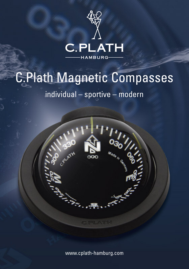

# C.Plath Magnetic Compasses

## individual – sportive – modern



www.cplath-hamburg.com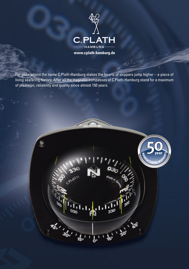

For generations the name C.Plath-Hamburg makes the hearts of skippers jump higher – a piece of living seafaring history. After all the magnetic compasses of C.Plath-Hamburg stand for a maximum of precision, reliability and quality since almost 150 years.

CRUATES

**26.1 36.1 1 15.1** 

弓

Made in G

**16' . 30'** 

г

T  $\overline{b}$ í

**50**

**MUTACTURERS WARRANT** year  $\gtrsim$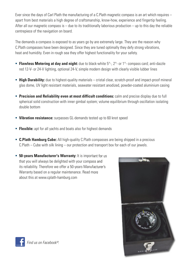Ever since the days of Carl Plath the manufacturing of a C.Plath magnetic compass is an art which requires – apart from best materials a high degree of craftsmanship, know-how, experience and fingertip feeling. After all our magnetic compass is  $-$  due to its traditionally laborious production  $-$  up to this day the reliable centrepiece of the navigation on board.

The demands a compass is exposed to as years go by are extremely large. They are the reason why C.Plath compasses have been designed. Since they are tuned optimally they defy strong vibrations, heat and humidity. Even in rough sea they offer highest functionality for your safety.

- **Flawless Metering at day and night:** due to black-white  $5^{\circ}$ -,  $2^{\circ}$  or  $1^{\circ}$  compass card; anti-dazzle red 12-V- or 24-V lighting, optional 24-V, simple modern design with clearly visible lubber lines
- **High Durability:** due to highest-quality materials cristal clear, scratch-proof and impact-proof mineral glas dome, UV light resistant materials, seawater resistant anodized, powder-coated aluminium casing
- **Precision and Reliability even at most difficult conditions:** calm and precise display due to full spherical solid construction with inner gimbal system; volume equilibrium through oscillation isolating double bottom
- **Vibration resistance:** surpasses GL-demands tested up to 60 knot speed
- **Flexible:** apt for all yachts and boats also for highest demands
- **C.Plath Hamburg Cube:** All high-quality C.Plath compasses are being shipped in a precious C.Plath – Cube with silk lining – our protection and transport box for each of our jewels.
- **50-years Manufacturer's Warranty:** It is important for us that you will always be delighted with your compass and its reliability. Therefore we offer a 50-years Manufacturer's Warranty based on a regular maintenance. Read more about this at www.cplath-hamburg.com

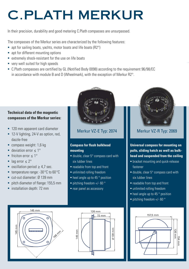## **C.PLATH MERKUR**

In their precision, durability and good metering C.Plath compasses are unsurpassed.

The compasses of the Merkur series are characterized by the following features:

- apt for sailing boats, yachts, motor boats and life boats (R2°)
- apt for different mounting options
- extremely shock-resistant for the use on life boats
- very well suited for high speeds
- C.Plath compasses are certified by GL (Notified Body 0098) according to the requirement 96/98/EC in accordance with module B and D (Wheelmark), with the exception of Merkur R2°.

### **Technical data of the magnetic compasses of the Merkur series:**

- **120 mm apparent card diameter**
- 12-V lighting, 24-V as option, red, dazzle-free
- compass weight: 1,6 kg
- deviation error < 1<sup>o</sup>
- friciton error  $< 1^\circ$
- lag error  $< 2^\circ$
- oscillation period  $> 4.7$  sec.
- temperature range: -30 °C to 60 °C
- cut-out diameter: Ø 139 mm
- pitch diameter of flange: 155,5 mm
- **·** installation depth: 72 mm



Merkur VZ-E Typ: 2074

#### **Compass for flush bulkhead mounting**

- double, clear 5° compass card with six lubber lines
- **F** readable from top and front
- **-** unlimited rolling freedom
- $\blacksquare$  heel angle up to 45  $\degree$  position
- $\bullet$  pitching freedom +/- 60  $\circ$
- **rear panel as accessory**







### Merkur VZ-R Typ: 2069

**Universal compass for mounting on pults, sliding hatch as well as bulkhead and suspended from the ceiling**

- bracket mounting and quick-release fastener
- double, clear 5° compass card with six lubber lines
- readable from top and front
- unlimited rolling freedom
- $\blacksquare$  heel angle up to 45  $\degree$  position
- pitching freedom +/- 60 °

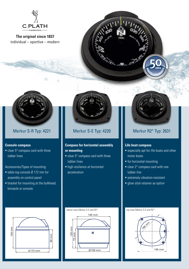

**The original since 1837** individual – sportive – modern





#### **Console compass**

 clear 5° compass card with three lubber lines

#### Accessories/Types of mounting:

- table-top console Ø 172 mm for assembly on control panel
- bracket for mounting at the bulkhead, binnacle or console.



#### **Compass for horizontal assembly or mounting**

- clear 5° compass card with three lubber lines
- high resilience at horizontal acceleration

### Merkur S-R Typ: 4221 **Merkur S-E Typ: 4220** Merkur R2° Typ: 2631

#### **Life boat compass**

- especially apt for life boats and other motor boats
- **for horizontal mounting**
- clear 2° compass card with one lubber line
- extremely vibration-resistant
- **glow stick retainer as option**







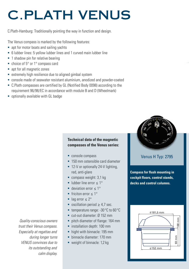## **C.PLATH VENUS**

C.Plath-Hamburg: Traditionally pointing the way in function and design.

The Venus compass is marked by the following features:

- apt for motor boats and sailing yachts
- 6 lubber lines: 5 yellow lubber lines and 1 curved main lubber line
- 1 shadow pin for relative bearing
- choice of 5° or 1° compass card
- apt for all magnetic zones
- extremely high resilience due to aligned gimbal system
- console made of seawater resistant aluminium, anodized and powder-coated
- C.Plath compasses are certified by GL (Notified Body 0098) according to the requirement 96/98/EC in accordance with module B and D (Wheelmark)
- optionally available with GL badge

#### **Technical data of the magnetic compasses of the Venus series:**

- console compass
- **150 mm ostensible card diameter**
- 12-V or optionally 24-V lighting. red, anti-glare
- compass weight: 3,1 kg
- lubber line error  $< 1^\circ$
- $\blacksquare$  deviation error < 1°
- friciton error  $< 1^\circ$
- lag error  $\leq 2^{\circ}$
- oscillation period  $\geq 4.7$  sec.
- temperature range: -30 °C to 60 °C
- cut-out diameter: Ø 152 mm
- **pitch diameter of flange: 164 mm**
- **·** installation depth: 100 mm
- hight with binnacle: 195 mm
- **binnacle diameter: 170 mm**
- weight of binnacle: 1,2 kg



Venus H Typ: 2795

**Compass for flush mounting in cockpit floors, control stands, decks and control columns.**



*Quality-conscious owners trust their Venus compass. Especially at regattas and during longer turns VENUS convinces due to its outstanding and calm display.*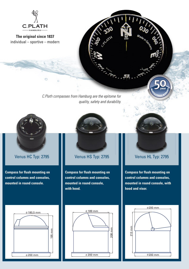

**The original since 1837** individual – sportive – modern

> *C.Plath compasses from Hamburg are the epitome for quality, safety and durability.*

×



Venus HC Typ: 2795 **Venus HS Typ: 2795** Venus HL Typ: 2795

**Compass for flush mounting on control columns and consoles, mounted in round console.**



**Compass for flush mounting on control columns and consoles, mounted in round console, with hood.**



MA

Made In Ce

**50**

**MUFACTURERS WARRANT** year  $\geq$ 

**Compass for flush mounting on control columns and consoles, mounted in round console, with hood and visor.**